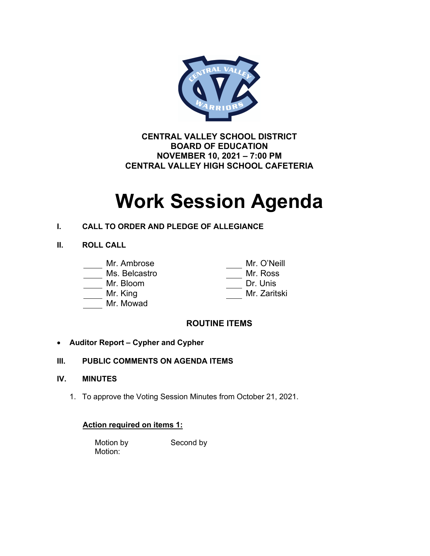

**CENTRAL VALLEY SCHOOL DISTRICT BOARD OF EDUCATION NOVEMBER 10, 2021 – 7:00 PM CENTRAL VALLEY HIGH SCHOOL CAFETERIA**

# **Work Session Agenda**

# **I. CALL TO ORDER AND PLEDGE OF ALLEGIANCE**

## **II. ROLL CALL**

- Mr. Ambrose Mr. O'Neill
- Ms. Belcastro
- Mr. Bloom
- Mr. King
- Mr. Mowad

| 170 - U INGIII |
|----------------|
| Mr. Ross       |
| Dr. Unis       |
| Mr. Zaritski   |
|                |

# **ROUTINE ITEMS**

# • **Auditor Report – Cypher and Cypher**

# **III. PUBLIC COMMENTS ON AGENDA ITEMS**

## **IV. MINUTES**

1. To approve the Voting Session Minutes from October 21, 2021.

## **Action required on items 1:**

Motion by Second by Motion: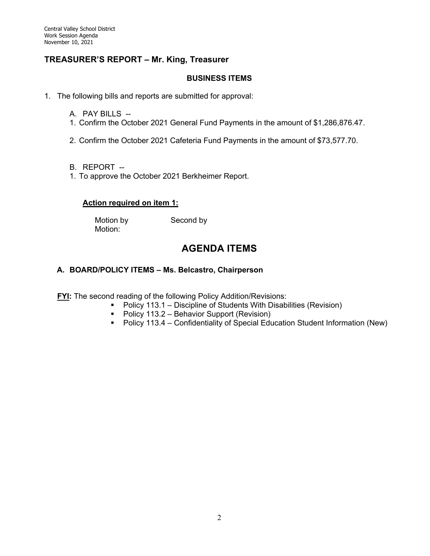## **TREASURER'S REPORT – Mr. King, Treasurer**

#### **BUSINESS ITEMS**

1. The following bills and reports are submitted for approval:

- A. PAY BILLS --
- 1. Confirm the October 2021 General Fund Payments in the amount of \$1,286,876.47.
- 2. Confirm the October 2021 Cafeteria Fund Payments in the amount of \$73,577.70.
- B. REPORT --
- 1. To approve the October 2021 Berkheimer Report.

#### **Action required on item 1:**

Motion:

Motion by Second by

# **AGENDA ITEMS**

#### **A. BOARD/POLICY ITEMS – Ms. Belcastro, Chairperson**

**FYI:** The second reading of the following Policy Addition/Revisions:

- Policy 113.1 Discipline of Students With Disabilities (Revision)
- Policy 113.2 Behavior Support (Revision)
- Policy 113.4 Confidentiality of Special Education Student Information (New)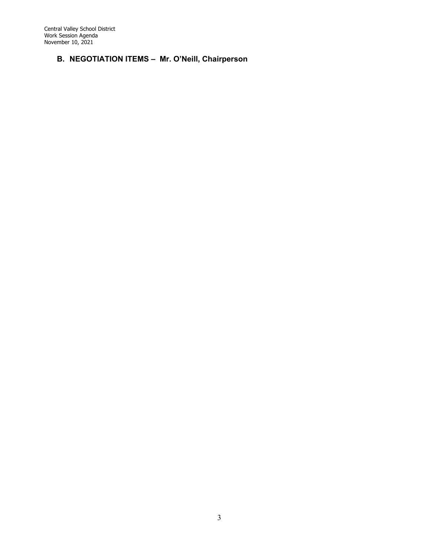Central Valley School District Work Session Agenda November 10, 2021

# **B. NEGOTIATION ITEMS – Mr. O'Neill, Chairperson**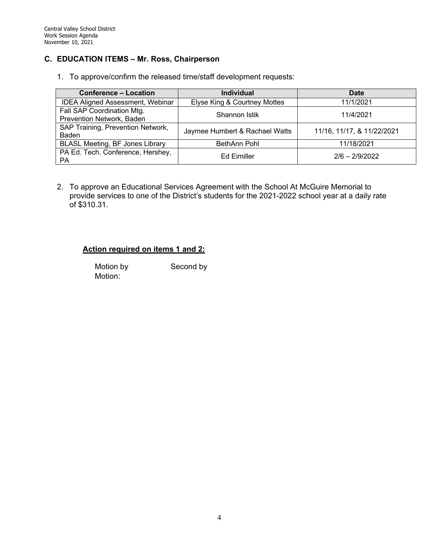#### **C. EDUCATION ITEMS – Mr. Ross, Chairperson**

1. To approve/confirm the released time/staff development requests:

| <b>Conference - Location</b>            | <b>Individual</b>              | <b>Date</b>                |  |
|-----------------------------------------|--------------------------------|----------------------------|--|
| <b>IDEA Aligned Assessment, Webinar</b> | Elyse King & Courtney Mottes   | 11/1/2021                  |  |
| Fall SAP Coordination Mtg.              | Shannon Istik                  | 11/4/2021                  |  |
| Prevention Network, Baden               |                                |                            |  |
| SAP Training, Prevention Network,       | Jaymee Humbert & Rachael Watts | 11/16, 11/17, & 11/22/2021 |  |
| Baden                                   |                                |                            |  |
| <b>BLASL Meeting, BF Jones Library</b>  | BethAnn Pohl                   | 11/18/2021                 |  |
| PA Ed. Tech. Conference, Hershey,<br>РA | <b>Ed Eimiller</b>             | $2/6 - 2/9/2022$           |  |

2. To approve an Educational Services Agreement with the School At McGuire Memorial to provide services to one of the District's students for the 2021-2022 school year at a daily rate of \$310.31.

## **Action required on items 1 and 2:**

Motion by Second by Motion:

4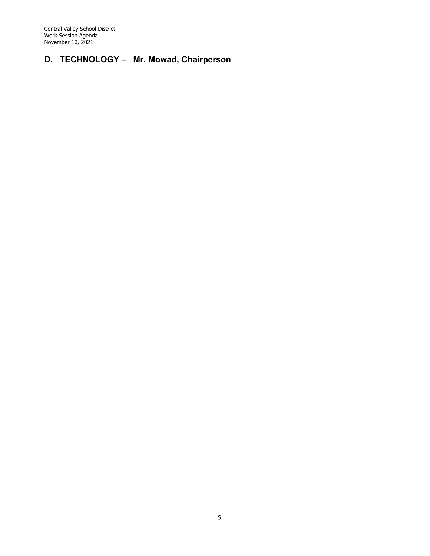Central Valley School District Work Session Agenda November 10, 2021

# **D. TECHNOLOGY – Mr. Mowad, Chairperson**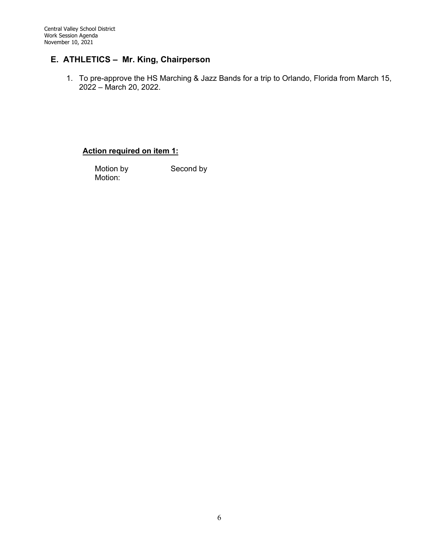# **E. ATHLETICS – Mr. King, Chairperson**

1. To pre-approve the HS Marching & Jazz Bands for a trip to Orlando, Florida from March 15, 2022 – March 20, 2022.

#### **Action required on item 1:**

Motion by Second by Motion: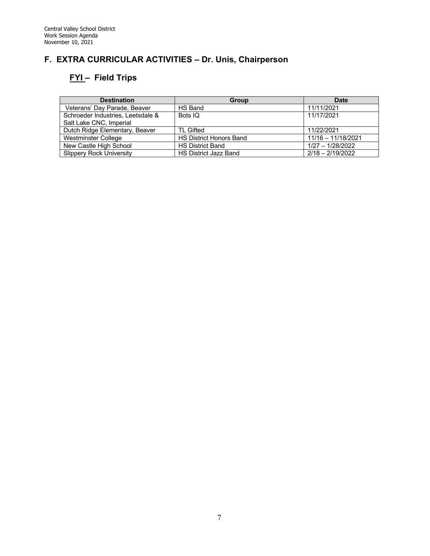# **F. EXTRA CURRICULAR ACTIVITIES – Dr. Unis, Chairperson**

# **FYI – Field Trips**

| <b>Destination</b>                | <b>Group</b>                   | <b>Date</b>          |
|-----------------------------------|--------------------------------|----------------------|
| Veterans' Day Parade, Beaver      | HS Band                        | 11/11/2021           |
| Schroeder Industries. Leetsdale & | Bots IQ                        | 11/17/2021           |
| Salt Lake CNC, Imperial           |                                |                      |
| Dutch Ridge Elementary, Beaver    | TL Gifted                      | 11/22/2021           |
| Westminster College               | <b>HS District Honors Band</b> | $11/16 - 11/18/2021$ |
| New Castle High School            | <b>HS District Band</b>        | $1/27 - 1/28/2022$   |
| <b>Slippery Rock University</b>   | <b>HS District Jazz Band</b>   | $2/18 - 2/19/2022$   |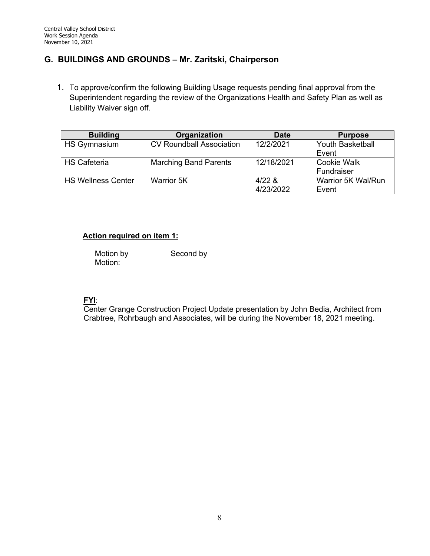# **G. BUILDINGS AND GROUNDS – Mr. Zaritski, Chairperson**

1. To approve/confirm the following Building Usage requests pending final approval from the Superintendent regarding the review of the Organizations Health and Safety Plan as well as Liability Waiver sign off.

| <b>Building</b>           | Organization                    | Date       | <b>Purpose</b>          |
|---------------------------|---------------------------------|------------|-------------------------|
| <b>HS Gymnasium</b>       | <b>CV Roundball Association</b> | 12/2/2021  | <b>Youth Basketball</b> |
|                           |                                 |            | Event                   |
| <b>HS Cafeteria</b>       | <b>Marching Band Parents</b>    | 12/18/2021 | <b>Cookie Walk</b>      |
|                           |                                 |            | Fundraiser              |
| <b>HS Wellness Center</b> | Warrior 5K                      | $4/22$ &   | Warrior 5K Wal/Run      |
|                           |                                 | 4/23/2022  | Event                   |

## **Action required on item 1:**

Motion by Second by Motion:

## **FYI**:

Center Grange Construction Project Update presentation by John Bedia, Architect from Crabtree, Rohrbaugh and Associates, will be during the November 18, 2021 meeting.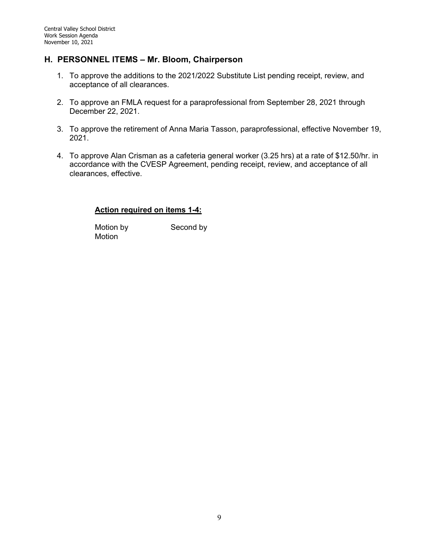## **H. PERSONNEL ITEMS – Mr. Bloom, Chairperson**

- 1. To approve the additions to the 2021/2022 Substitute List pending receipt, review, and acceptance of all clearances.
- 2. To approve an FMLA request for a paraprofessional from September 28, 2021 through December 22, 2021.
- 3. To approve the retirement of Anna Maria Tasson, paraprofessional, effective November 19, 2021.
- 4. To approve Alan Crisman as a cafeteria general worker (3.25 hrs) at a rate of \$12.50/hr. in accordance with the CVESP Agreement, pending receipt, review, and acceptance of all clearances, effective.

#### **Action required on items 1-4:**

Motion by Second by Motion